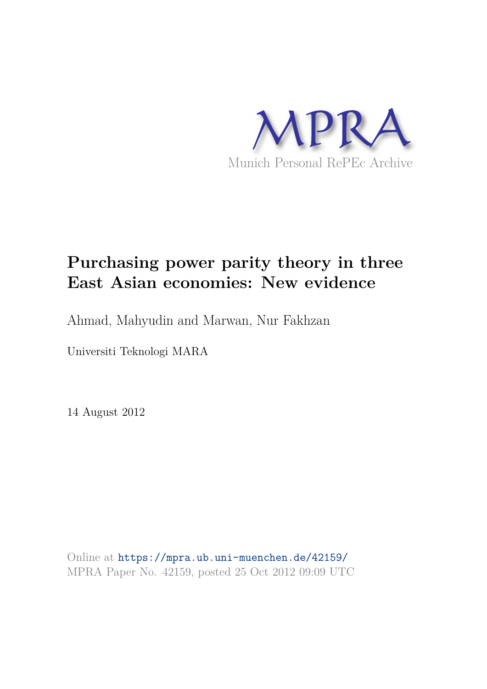

# **Purchasing power parity theory in three East Asian economies: New evidence**

Ahmad, Mahyudin and Marwan, Nur Fakhzan

Universiti Teknologi MARA

14 August 2012

Online at https://mpra.ub.uni-muenchen.de/42159/ MPRA Paper No. 42159, posted 25 Oct 2012 09:09 UTC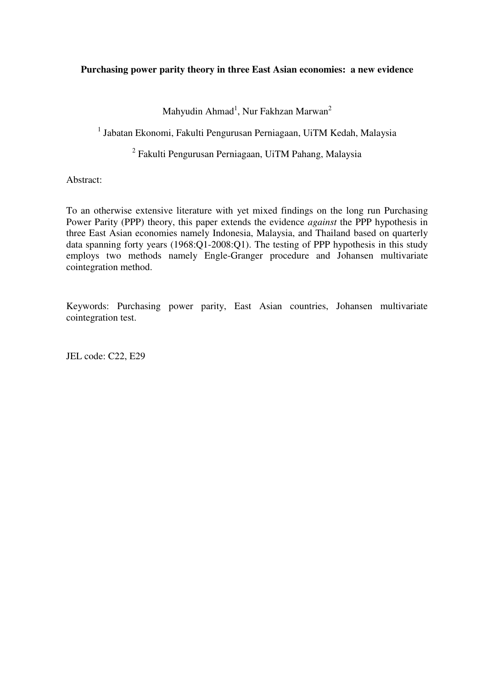## **Purchasing power parity theory in three East Asian economies: a new evidence**

Mahyudin Ahmad<sup>1</sup>, Nur Fakhzan Marwan<sup>2</sup>

<sup>1</sup> Jabatan Ekonomi, Fakulti Pengurusan Perniagaan, UiTM Kedah, Malaysia

<sup>2</sup> Fakulti Pengurusan Perniagaan, UiTM Pahang, Malaysia

Abstract:

To an otherwise extensive literature with yet mixed findings on the long run Purchasing Power Parity (PPP) theory, this paper extends the evidence *against* the PPP hypothesis in three East Asian economies namely Indonesia, Malaysia, and Thailand based on quarterly data spanning forty years (1968:Q1-2008:Q1). The testing of PPP hypothesis in this study employs two methods namely Engle-Granger procedure and Johansen multivariate cointegration method.

Keywords: Purchasing power parity, East Asian countries, Johansen multivariate cointegration test.

JEL code: C22, E29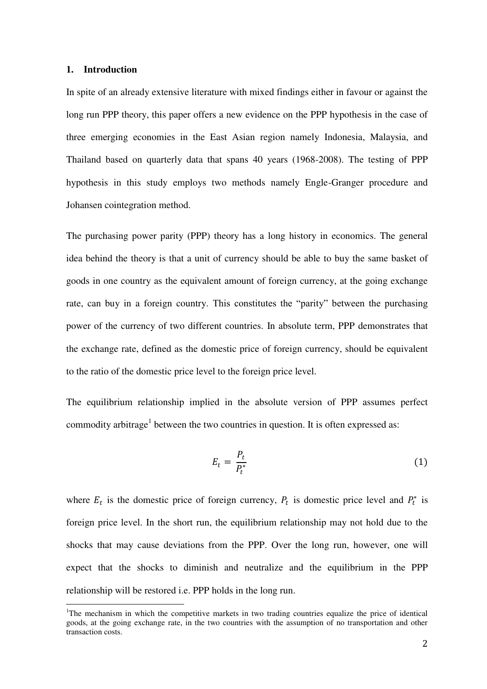## **1. Introduction**

 $\overline{a}$ 

In spite of an already extensive literature with mixed findings either in favour or against the long run PPP theory, this paper offers a new evidence on the PPP hypothesis in the case of three emerging economies in the East Asian region namely Indonesia, Malaysia, and Thailand based on quarterly data that spans 40 years (1968-2008). The testing of PPP hypothesis in this study employs two methods namely Engle-Granger procedure and Johansen cointegration method.

The purchasing power parity (PPP) theory has a long history in economics. The general idea behind the theory is that a unit of currency should be able to buy the same basket of goods in one country as the equivalent amount of foreign currency, at the going exchange rate, can buy in a foreign country. This constitutes the "parity" between the purchasing power of the currency of two different countries. In absolute term, PPP demonstrates that the exchange rate, defined as the domestic price of foreign currency, should be equivalent to the ratio of the domestic price level to the foreign price level.

The equilibrium relationship implied in the absolute version of PPP assumes perfect commodity arbitrage<sup>1</sup> between the two countries in question. It is often expressed as:

$$
E_t = \frac{P_t}{P_t^*} \tag{1}
$$

where  $E_t$  is the domestic price of foreign currency,  $P_t$  is domestic price level and  $P_t^*$  is foreign price level. In the short run, the equilibrium relationship may not hold due to the shocks that may cause deviations from the PPP. Over the long run, however, one will expect that the shocks to diminish and neutralize and the equilibrium in the PPP relationship will be restored i.e. PPP holds in the long run.

<sup>&</sup>lt;sup>1</sup>The mechanism in which the competitive markets in two trading countries equalize the price of identical goods, at the going exchange rate, in the two countries with the assumption of no transportation and other transaction costs.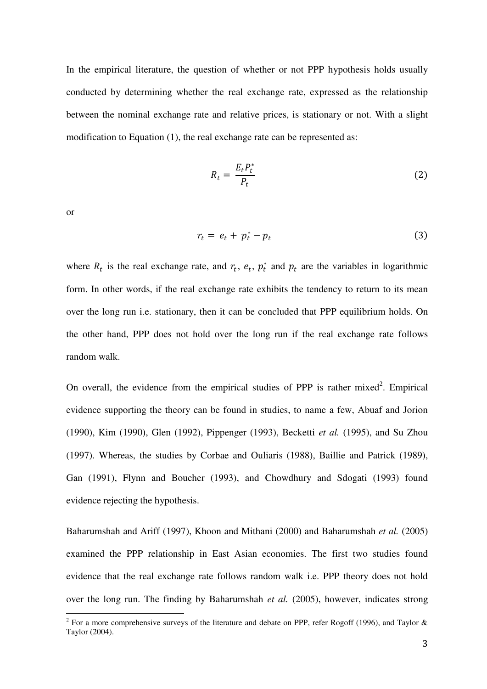In the empirical literature, the question of whether or not PPP hypothesis holds usually conducted by determining whether the real exchange rate, expressed as the relationship between the nominal exchange rate and relative prices, is stationary or not. With a slight modification to Equation (1), the real exchange rate can be represented as:

$$
R_t = \frac{E_t P_t^*}{P_t} \tag{2}
$$

or

 $\overline{a}$ 

$$
r_t = e_t + p_t^* - p_t \tag{3}
$$

where  $R_t$  is the real exchange rate, and  $r_t$ ,  $e_t$ ,  $p_t^*$  and  $p_t$  are the variables in logarithmic form. In other words, if the real exchange rate exhibits the tendency to return to its mean over the long run i.e. stationary, then it can be concluded that PPP equilibrium holds. On the other hand, PPP does not hold over the long run if the real exchange rate follows random walk.

On overall, the evidence from the empirical studies of PPP is rather mixed<sup>2</sup>. Empirical evidence supporting the theory can be found in studies, to name a few, Abuaf and Jorion (1990), Kim (1990), Glen (1992), Pippenger (1993), Becketti *et al.* (1995), and Su Zhou (1997). Whereas, the studies by Corbae and Ouliaris (1988), Baillie and Patrick (1989), Gan (1991), Flynn and Boucher (1993), and Chowdhury and Sdogati (1993) found evidence rejecting the hypothesis.

Baharumshah and Ariff (1997), Khoon and Mithani (2000) and Baharumshah *et al.* (2005) examined the PPP relationship in East Asian economies. The first two studies found evidence that the real exchange rate follows random walk i.e. PPP theory does not hold over the long run. The finding by Baharumshah *et al.* (2005), however, indicates strong

<sup>&</sup>lt;sup>2</sup> For a more comprehensive surveys of the literature and debate on PPP, refer Rogoff (1996), and Taylor & Taylor (2004).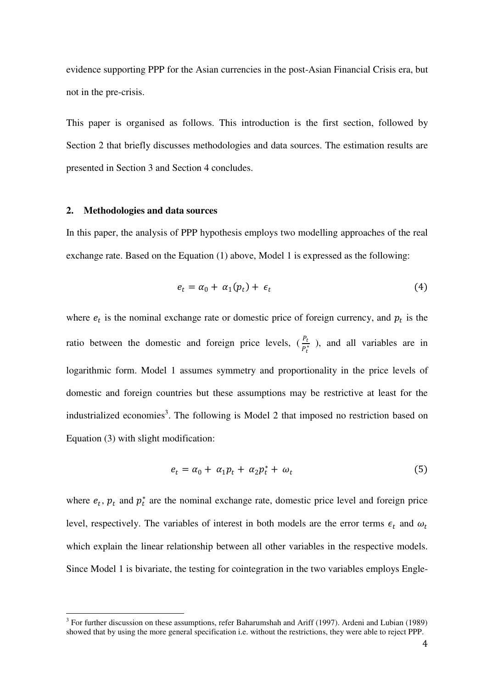evidence supporting PPP for the Asian currencies in the post-Asian Financial Crisis era, but not in the pre-crisis.

This paper is organised as follows. This introduction is the first section, followed by Section 2 that briefly discusses methodologies and data sources. The estimation results are presented in Section 3 and Section 4 concludes.

## **2. Methodologies and data sources**

 $\overline{a}$ 

In this paper, the analysis of PPP hypothesis employs two modelling approaches of the real exchange rate. Based on the Equation (1) above, Model 1 is expressed as the following:

$$
e_t = \alpha_0 + \alpha_1(p_t) + \epsilon_t \tag{4}
$$

where  $e_t$  is the nominal exchange rate or domestic price of foreign currency, and  $p_t$  is the ratio between the domestic and foreign price levels,  $(\frac{P_t}{R_t})$  $\frac{r_t}{p_t^*}$ ), and all variables are in logarithmic form. Model 1 assumes symmetry and proportionality in the price levels of domestic and foreign countries but these assumptions may be restrictive at least for the industrialized economies<sup>3</sup>. The following is Model 2 that imposed no restriction based on Equation (3) with slight modification:

$$
e_t = \alpha_0 + \alpha_1 p_t + \alpha_2 p_t^* + \omega_t \tag{5}
$$

where  $e_t$ ,  $p_t$  and  $p_t^*$  are the nominal exchange rate, domestic price level and foreign price level, respectively. The variables of interest in both models are the error terms  $\epsilon_t$  and  $\omega_t$ which explain the linear relationship between all other variables in the respective models. Since Model 1 is bivariate, the testing for cointegration in the two variables employs Engle-

<sup>&</sup>lt;sup>3</sup> For further discussion on these assumptions, refer Baharumshah and Ariff (1997). Ardeni and Lubian (1989) showed that by using the more general specification i.e. without the restrictions, they were able to reject PPP.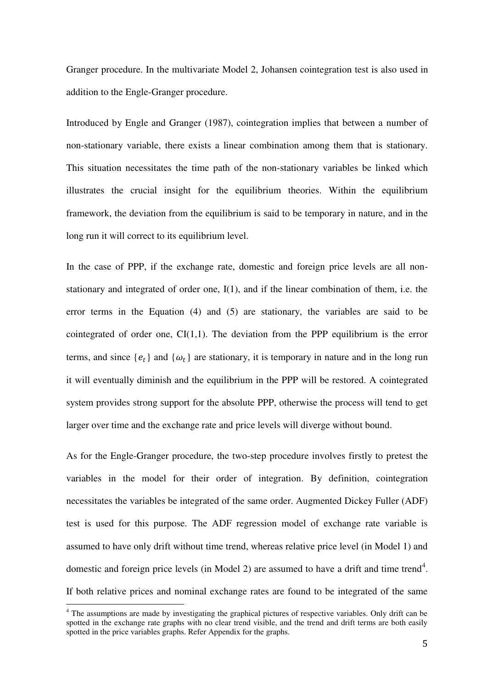Granger procedure. In the multivariate Model 2, Johansen cointegration test is also used in addition to the Engle-Granger procedure.

Introduced by Engle and Granger (1987), cointegration implies that between a number of non-stationary variable, there exists a linear combination among them that is stationary. This situation necessitates the time path of the non-stationary variables be linked which illustrates the crucial insight for the equilibrium theories. Within the equilibrium framework, the deviation from the equilibrium is said to be temporary in nature, and in the long run it will correct to its equilibrium level.

In the case of PPP, if the exchange rate, domestic and foreign price levels are all nonstationary and integrated of order one, I(1), and if the linear combination of them, i.e. the error terms in the Equation (4) and (5) are stationary, the variables are said to be cointegrated of order one,  $CI(1,1)$ . The deviation from the PPP equilibrium is the error terms, and since  ${e_t}$  and  ${\omega_t}$  are stationary, it is temporary in nature and in the long run it will eventually diminish and the equilibrium in the PPP will be restored. A cointegrated system provides strong support for the absolute PPP, otherwise the process will tend to get larger over time and the exchange rate and price levels will diverge without bound.

As for the Engle-Granger procedure, the two-step procedure involves firstly to pretest the variables in the model for their order of integration. By definition, cointegration necessitates the variables be integrated of the same order. Augmented Dickey Fuller (ADF) test is used for this purpose. The ADF regression model of exchange rate variable is assumed to have only drift without time trend, whereas relative price level (in Model 1) and domestic and foreign price levels (in Model 2) are assumed to have a drift and time trend<sup>4</sup>. If both relative prices and nominal exchange rates are found to be integrated of the same

 $\overline{a}$ 

<sup>&</sup>lt;sup>4</sup> The assumptions are made by investigating the graphical pictures of respective variables. Only drift can be spotted in the exchange rate graphs with no clear trend visible, and the trend and drift terms are both easily spotted in the price variables graphs. Refer Appendix for the graphs.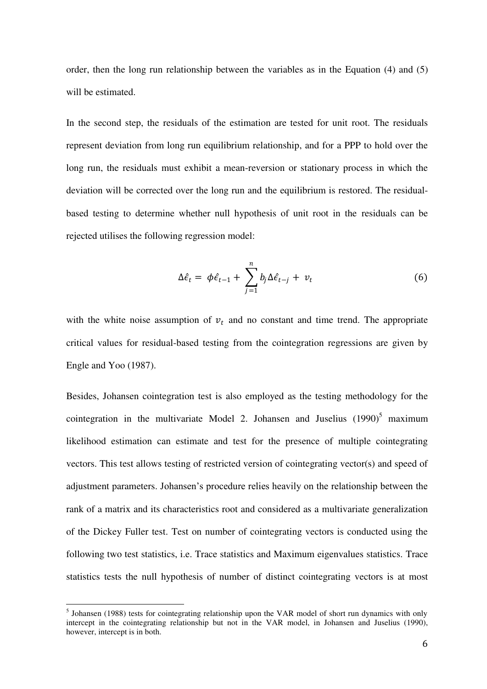order, then the long run relationship between the variables as in the Equation (4) and (5) will be estimated.

In the second step, the residuals of the estimation are tested for unit root. The residuals represent deviation from long run equilibrium relationship, and for a PPP to hold over the long run, the residuals must exhibit a mean-reversion or stationary process in which the deviation will be corrected over the long run and the equilibrium is restored. The residualbased testing to determine whether null hypothesis of unit root in the residuals can be rejected utilises the following regression model:

$$
\Delta \hat{\epsilon}_t = \phi \hat{\epsilon}_{t-1} + \sum_{j=1}^n b_j \Delta \hat{\epsilon}_{t-j} + v_t \tag{6}
$$

with the white noise assumption of  $v_t$  and no constant and time trend. The appropriate critical values for residual-based testing from the cointegration regressions are given by Engle and Yoo (1987).

Besides, Johansen cointegration test is also employed as the testing methodology for the cointegration in the multivariate Model 2. Johansen and Juselius  $(1990)^5$  maximum likelihood estimation can estimate and test for the presence of multiple cointegrating vectors. This test allows testing of restricted version of cointegrating vector(s) and speed of adjustment parameters. Johansen"s procedure relies heavily on the relationship between the rank of a matrix and its characteristics root and considered as a multivariate generalization of the Dickey Fuller test. Test on number of cointegrating vectors is conducted using the following two test statistics, i.e. Trace statistics and Maximum eigenvalues statistics. Trace statistics tests the null hypothesis of number of distinct cointegrating vectors is at most

 $\overline{a}$ 

<sup>&</sup>lt;sup>5</sup> Johansen (1988) tests for cointegrating relationship upon the VAR model of short run dynamics with only intercept in the cointegrating relationship but not in the VAR model, in Johansen and Juselius (1990), however, intercept is in both.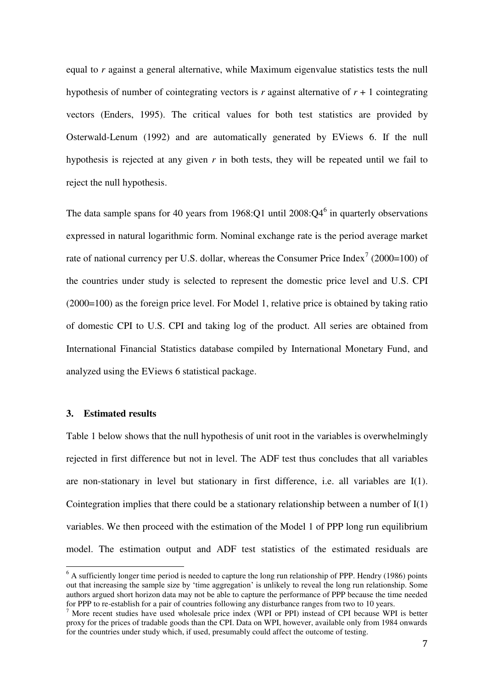equal to *r* against a general alternative, while Maximum eigenvalue statistics tests the null hypothesis of number of cointegrating vectors is  $r$  against alternative of  $r + 1$  cointegrating vectors (Enders, 1995). The critical values for both test statistics are provided by Osterwald-Lenum (1992) and are automatically generated by EViews 6. If the null hypothesis is rejected at any given *r* in both tests, they will be repeated until we fail to reject the null hypothesis.

The data sample spans for 40 years from 1968:Q1 until  $2008:Q4<sup>6</sup>$  in quarterly observations expressed in natural logarithmic form. Nominal exchange rate is the period average market rate of national currency per U.S. dollar, whereas the Consumer Price Index<sup>7</sup> (2000=100) of the countries under study is selected to represent the domestic price level and U.S. CPI (2000=100) as the foreign price level. For Model 1, relative price is obtained by taking ratio of domestic CPI to U.S. CPI and taking log of the product. All series are obtained from International Financial Statistics database compiled by International Monetary Fund, and analyzed using the EViews 6 statistical package.

### **3. Estimated results**

 $\overline{a}$ 

Table 1 below shows that the null hypothesis of unit root in the variables is overwhelmingly rejected in first difference but not in level. The ADF test thus concludes that all variables are non-stationary in level but stationary in first difference, i.e. all variables are I(1). Cointegration implies that there could be a stationary relationship between a number of I(1) variables. We then proceed with the estimation of the Model 1 of PPP long run equilibrium model. The estimation output and ADF test statistics of the estimated residuals are

<sup>&</sup>lt;sup>6</sup> A sufficiently longer time period is needed to capture the long run relationship of PPP. Hendry (1986) points out that increasing the sample size by "time aggregation" is unlikely to reveal the long run relationship. Some authors argued short horizon data may not be able to capture the performance of PPP because the time needed for PPP to re-establish for a pair of countries following any disturbance ranges from two to 10 years.

<sup>7</sup> More recent studies have used wholesale price index (WPI or PPI) instead of CPI because WPI is better proxy for the prices of tradable goods than the CPI. Data on WPI, however, available only from 1984 onwards for the countries under study which, if used, presumably could affect the outcome of testing.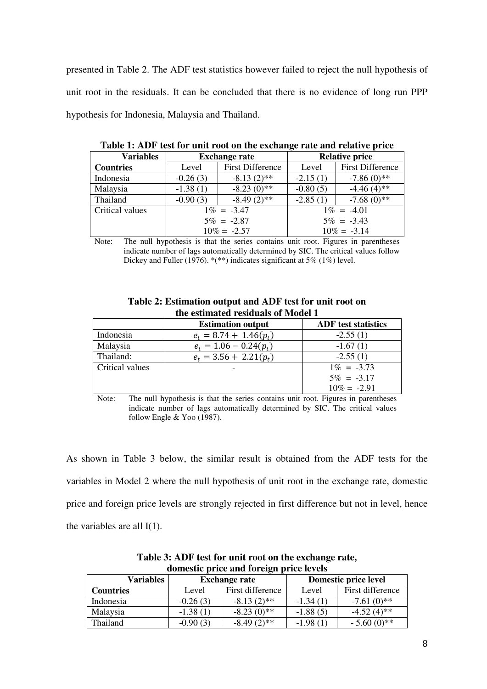presented in Table 2. The ADF test statistics however failed to reject the null hypothesis of unit root in the residuals. It can be concluded that there is no evidence of long run PPP hypothesis for Indonesia, Malaysia and Thailand.

| <b>Variables</b> |                | <b>Exchange rate</b>    |               | <b>Relative price</b>   |
|------------------|----------------|-------------------------|---------------|-------------------------|
| <b>Countries</b> | Level          | <b>First Difference</b> | Level         | <b>First Difference</b> |
| Indonesia        | $-0.26(3)$     | $-8.13(2)$ **           | $-2.15(1)$    | $-7.86(0)$ **           |
| Malaysia         | $-1.38(1)$     | $-8.23(0)$ **           | $-0.80(5)$    | $-4.46(4)$ **           |
| Thailand         | $-0.90(3)$     | $-8.49(2)$ **           | $-2.85(1)$    | $-7.68(0)$ **           |
| Critical values  | $1\% = -3.47$  |                         | $1\% = -4.01$ |                         |
|                  | $5\% = -2.87$  |                         | $5\% = -3.43$ |                         |
|                  | $10\% = -2.57$ |                         |               | $10\% = -3.14$          |

**Table 1: ADF test for unit root on the exchange rate and relative price** 

Note: The null hypothesis is that the series contains unit root. Figures in parentheses indicate number of lags automatically determined by SIC. The critical values follow Dickey and Fuller (1976). \*(\*\*) indicates significant at 5% (1%) level.

| Table 2: Estimation output and ADF test for unit root on |
|----------------------------------------------------------|
| the estimated residuals of Model 1                       |

|                        | <b>Estimation output</b> | <b>ADF</b> test statistics |
|------------------------|--------------------------|----------------------------|
| Indonesia              | $e_t = 8.74 + 1.46(p_t)$ | $-2.55(1)$                 |
| Malaysia               | $e_t = 1.06 - 0.24(p_t)$ | $-1.67(1)$                 |
| Thailand:              | $e_t = 3.56 + 2.21(p_t)$ | $-2.55(1)$                 |
| <b>Critical values</b> |                          | $1\% = -3.73$              |
|                        |                          | $5\% = -3.17$              |
|                        |                          | $10\% = -2.91$             |

Note: The null hypothesis is that the series contains unit root. Figures in parentheses indicate number of lags automatically determined by SIC. The critical values follow Engle  $& Yoo (1987)$ .

As shown in Table 3 below, the similar result is obtained from the ADF tests for the variables in Model 2 where the null hypothesis of unit root in the exchange rate, domestic price and foreign price levels are strongly rejected in first difference but not in level, hence the variables are all  $I(1)$ .

| abinestic price and foreign price it (the |                           |                      |                      |                  |  |  |  |
|-------------------------------------------|---------------------------|----------------------|----------------------|------------------|--|--|--|
| <b>Variables</b>                          |                           | <b>Exchange rate</b> | Domestic price level |                  |  |  |  |
| <b>Countries</b>                          | First difference<br>Level |                      | Level                | First difference |  |  |  |
| Indonesia                                 | $-0.26(3)$                | $-8.13(2)$ **        | $-1.34(1)$           | $-7.61(0)$ **    |  |  |  |
| Malaysia                                  | $-1.38(1)$                | $-8.23(0)$ **        | $-1.88(5)$           | $-4.52(4)$ **    |  |  |  |
| Thailand                                  | $-0.90(3)$                | $-8.49(2)$ **        | $-1.98(1)$           | $-5.60(0)$ **    |  |  |  |

**Table 3: ADF test for unit root on the exchange rate, domestic price and foreign price levels**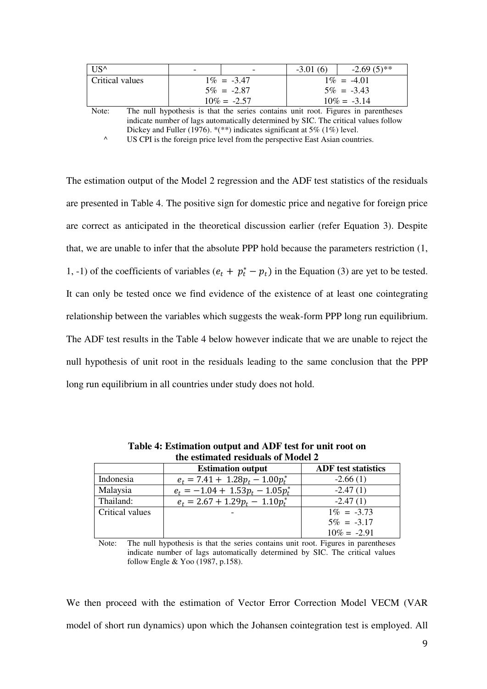| $IIS^{\wedge}$                     | $\overline{\phantom{a}}$ | -              | $-3.01(6)$                                                                                                      | $-2.69(5)$ **  |  |
|------------------------------------|--------------------------|----------------|-----------------------------------------------------------------------------------------------------------------|----------------|--|
| Critical values                    |                          | $1\% = -3.47$  | $1\% = -4.01$                                                                                                   |                |  |
|                                    |                          | $5\% = -2.87$  |                                                                                                                 | $5\% = -3.43$  |  |
|                                    |                          | $10\% = -2.57$ |                                                                                                                 | $10\% = -3.14$ |  |
| $\sim$<br>$\mathbf{v}$<br>$\cdots$ |                          |                | the contract of the contract of the contract of the contract of the contract of the contract of the contract of |                |  |

Note: The null hypothesis is that the series contains unit root. Figures in parentheses indicate number of lags automatically determined by SIC. The critical values follow Dickey and Fuller (1976). \*(\*\*) indicates significant at 5% (1%) level.

^ US CPI is the foreign price level from the perspective East Asian countries.

The estimation output of the Model 2 regression and the ADF test statistics of the residuals are presented in Table 4. The positive sign for domestic price and negative for foreign price are correct as anticipated in the theoretical discussion earlier (refer Equation 3). Despite that, we are unable to infer that the absolute PPP hold because the parameters restriction (1, 1, -1) of the coefficients of variables  $(e_t + p_t^* - p_t)$  in the Equation (3) are yet to be tested. It can only be tested once we find evidence of the existence of at least one cointegrating relationship between the variables which suggests the weak-form PPP long run equilibrium. The ADF test results in the Table 4 below however indicate that we are unable to reject the null hypothesis of unit root in the residuals leading to the same conclusion that the PPP long run equilibrium in all countries under study does not hold.

| the estimated residuals of Model $\mathcal{L}$ |                                     |                            |  |  |  |  |
|------------------------------------------------|-------------------------------------|----------------------------|--|--|--|--|
|                                                | <b>Estimation output</b>            | <b>ADF</b> test statistics |  |  |  |  |
| Indonesia                                      | $e_t = 7.41 + 1.28p_t - 1.00p_t^*$  | $-2.66(1)$                 |  |  |  |  |
| Malaysia                                       | $e_t = -1.04 + 1.53p_t - 1.05p_t^*$ | $-2.47(1)$                 |  |  |  |  |
| Thailand:                                      | $e_t = 2.67 + 1.29p_t - 1.10p_t^*$  | $-2.47(1)$                 |  |  |  |  |
| Critical values                                |                                     | $1\% = -3.73$              |  |  |  |  |
|                                                |                                     | $5\% = -3.17$              |  |  |  |  |
|                                                |                                     | $10\% = -2.91$             |  |  |  |  |

**Table 4: Estimation output and ADF test for unit root on the estimated residuals of Model 2** 

Note: The null hypothesis is that the series contains unit root. Figures in parentheses indicate number of lags automatically determined by SIC. The critical values follow Engle & Yoo (1987, p.158).

We then proceed with the estimation of Vector Error Correction Model VECM (VAR model of short run dynamics) upon which the Johansen cointegration test is employed. All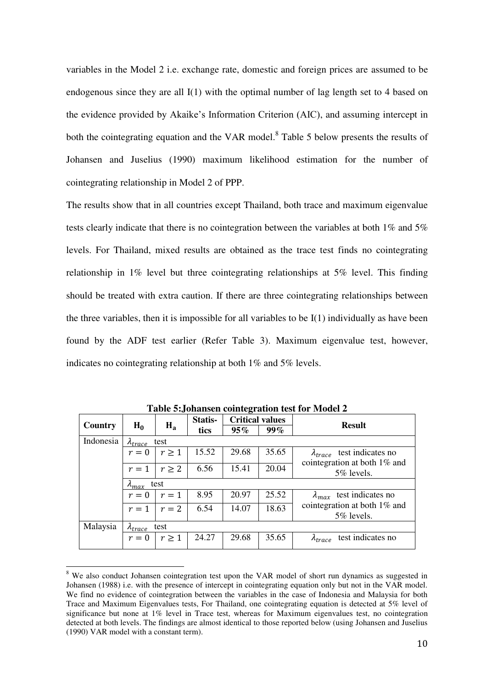variables in the Model 2 i.e. exchange rate, domestic and foreign prices are assumed to be endogenous since they are all I(1) with the optimal number of lag length set to 4 based on the evidence provided by Akaike"s Information Criterion (AIC), and assuming intercept in both the cointegrating equation and the VAR model.<sup>8</sup> Table 5 below presents the results of Johansen and Juselius (1990) maximum likelihood estimation for the number of cointegrating relationship in Model 2 of PPP.

The results show that in all countries except Thailand, both trace and maximum eigenvalue tests clearly indicate that there is no cointegration between the variables at both 1% and 5% levels. For Thailand, mixed results are obtained as the trace test finds no cointegrating relationship in 1% level but three cointegrating relationships at 5% level. This finding should be treated with extra caution. If there are three cointegrating relationships between the three variables, then it is impossible for all variables to be  $I(1)$  individually as have been found by the ADF test earlier (Refer Table 3). Maximum eigenvalue test, however, indicates no cointegrating relationship at both 1% and 5% levels.

|           |                           |            | Statis- | <b>Critical values</b> |        | <b>Result</b>                                                          |  |
|-----------|---------------------------|------------|---------|------------------------|--------|------------------------------------------------------------------------|--|
| Country   | $H_0$                     | $H_a$      | tics    | 95%                    | $99\%$ |                                                                        |  |
| Indonesia | $\lambda_{trace}$<br>test |            |         |                        |        |                                                                        |  |
|           | $r=0$                     | $r \geq 1$ | 15.52   | 29.68                  | 35.65  | test indicates no<br>$\lambda_{trace}$<br>cointegration at both 1% and |  |
|           | $r=1$                     | $r \geq 2$ | 6.56    | 15.41                  | 20.04  | 5% levels.                                                             |  |
|           | $\lambda_{\text{max}}$    | test       |         |                        |        |                                                                        |  |
|           | $r=0$                     | $r=1$      | 8.95    | 20.97                  | 25.52  | test indicates no<br>$\lambda_{max}$                                   |  |
|           | $r=1$                     | $r=2$      | 6.54    | 14.07                  | 18.63  | cointegration at both 1% and<br>5% levels.                             |  |
| Malaysia  | test<br>$\Lambda_{trace}$ |            |         |                        |        |                                                                        |  |
|           | $r=0$                     | $r \geq 1$ | 24.27   | 29.68                  | 35.65  | test indicates no<br>$\lambda_{trace}$                                 |  |

**Table 5:Johansen cointegration test for Model 2** 

 $\overline{a}$ 

<sup>&</sup>lt;sup>8</sup> We also conduct Johansen cointegration test upon the VAR model of short run dynamics as suggested in Johansen (1988) i.e. with the presence of intercept in cointegrating equation only but not in the VAR model. We find no evidence of cointegration between the variables in the case of Indonesia and Malaysia for both Trace and Maximum Eigenvalues tests, For Thailand, one cointegrating equation is detected at 5% level of significance but none at 1% level in Trace test, whereas for Maximum eigenvalues test, no cointegration detected at both levels. The findings are almost identical to those reported below (using Johansen and Juselius (1990) VAR model with a constant term).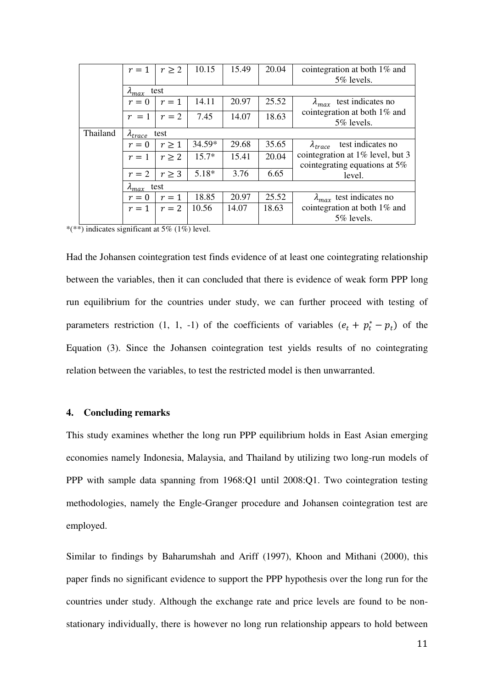|          | $r=1$                | $r \geq 2$ | 10.15   | 15.49 | 20.04 | cointegration at both 1% and<br>5% levels.                           |
|----------|----------------------|------------|---------|-------|-------|----------------------------------------------------------------------|
|          | $\lambda_{max}$ test |            |         |       |       |                                                                      |
|          | $r=0$                | $r=1$      | 14.11   | 20.97 | 25.52 | test indicates no<br>$\lambda_{max}$                                 |
|          | $r = 1$              | $r=2$      | 7.45    | 14.07 | 18.63 | cointegration at both 1% and<br>5% levels.                           |
| Thailand | $\lambda_{trace}$    | test       |         |       |       |                                                                      |
|          | $r=0$                | $r \geq 1$ | 34.59*  | 29.68 | 35.65 | test indicates no<br>$\lambda_{trace}$                               |
|          | $r=1$                | $r \geq 2$ | $15.7*$ | 15.41 | 20.04 | cointegration at 1% level, but 3<br>cointegrating equations at $5\%$ |
|          | $r=2$                | $r \geq 3$ | $5.18*$ | 3.76  | 6.65  | level.                                                               |
|          | $\lambda_{max}$ test |            |         |       |       |                                                                      |
|          | $r=0$                | $r=1$      | 18.85   | 20.97 | 25.52 | $\lambda_{max}$ test indicates no                                    |
|          | $r=1$                | $r=2$      | 10.56   | 14.07 | 18.63 | cointegration at both 1% and<br>5% levels.                           |

\*(\*\*) indicates significant at 5% (1%) level.

Had the Johansen cointegration test finds evidence of at least one cointegrating relationship between the variables, then it can concluded that there is evidence of weak form PPP long run equilibrium for the countries under study, we can further proceed with testing of parameters restriction (1, 1, -1) of the coefficients of variables  $(e_t + p_t^* - p_t)$  of the Equation (3). Since the Johansen cointegration test yields results of no cointegrating relation between the variables, to test the restricted model is then unwarranted.

#### **4. Concluding remarks**

This study examines whether the long run PPP equilibrium holds in East Asian emerging economies namely Indonesia, Malaysia, and Thailand by utilizing two long-run models of PPP with sample data spanning from 1968:Q1 until 2008:Q1. Two cointegration testing methodologies, namely the Engle-Granger procedure and Johansen cointegration test are employed.

Similar to findings by Baharumshah and Ariff (1997), Khoon and Mithani (2000), this paper finds no significant evidence to support the PPP hypothesis over the long run for the countries under study. Although the exchange rate and price levels are found to be nonstationary individually, there is however no long run relationship appears to hold between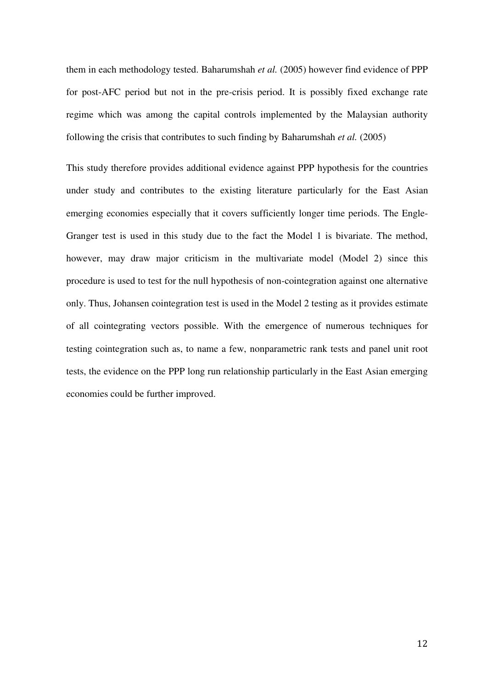them in each methodology tested. Baharumshah *et al.* (2005) however find evidence of PPP for post-AFC period but not in the pre-crisis period. It is possibly fixed exchange rate regime which was among the capital controls implemented by the Malaysian authority following the crisis that contributes to such finding by Baharumshah *et al.* (2005)

This study therefore provides additional evidence against PPP hypothesis for the countries under study and contributes to the existing literature particularly for the East Asian emerging economies especially that it covers sufficiently longer time periods. The Engle-Granger test is used in this study due to the fact the Model 1 is bivariate. The method, however, may draw major criticism in the multivariate model (Model 2) since this procedure is used to test for the null hypothesis of non-cointegration against one alternative only. Thus, Johansen cointegration test is used in the Model 2 testing as it provides estimate of all cointegrating vectors possible. With the emergence of numerous techniques for testing cointegration such as, to name a few, nonparametric rank tests and panel unit root tests, the evidence on the PPP long run relationship particularly in the East Asian emerging economies could be further improved.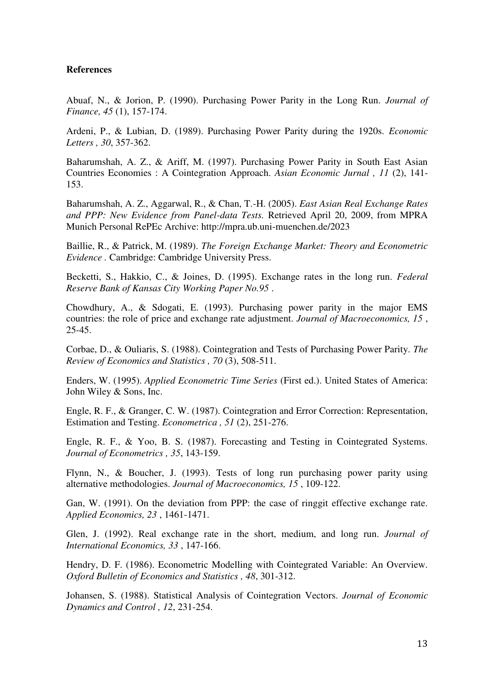## **References**

Abuaf, N., & Jorion, P. (1990). Purchasing Power Parity in the Long Run. *Journal of Finance, 45* (1), 157-174.

Ardeni, P., & Lubian, D. (1989). Purchasing Power Parity during the 1920s. *Economic Letters , 30*, 357-362.

Baharumshah, A. Z., & Ariff, M. (1997). Purchasing Power Parity in South East Asian Countries Economies : A Cointegration Approach. *Asian Economic Jurnal , 11* (2), 141- 153.

Baharumshah, A. Z., Aggarwal, R., & Chan, T.-H. (2005). *East Asian Real Exchange Rates and PPP: New Evidence from Panel-data Tests.* Retrieved April 20, 2009, from MPRA Munich Personal RePEc Archive: http://mpra.ub.uni-muenchen.de/2023

Baillie, R., & Patrick, M. (1989). *The Foreign Exchange Market: Theory and Econometric Evidence .* Cambridge: Cambridge University Press.

Becketti, S., Hakkio, C., & Joines, D. (1995). Exchange rates in the long run. *Federal Reserve Bank of Kansas City Working Paper No.95* .

Chowdhury, A., & Sdogati, E. (1993). Purchasing power parity in the major EMS countries: the role of price and exchange rate adjustment. *Journal of Macroeconomics, 15* , 25-45.

Corbae, D., & Ouliaris, S. (1988). Cointegration and Tests of Purchasing Power Parity. *The Review of Economics and Statistics , 70* (3), 508-511.

Enders, W. (1995). *Applied Econometric Time Series* (First ed.). United States of America: John Wiley & Sons, Inc.

Engle, R. F., & Granger, C. W. (1987). Cointegration and Error Correction: Representation, Estimation and Testing. *Econometrica , 51* (2), 251-276.

Engle, R. F., & Yoo, B. S. (1987). Forecasting and Testing in Cointegrated Systems. *Journal of Econometrics , 35*, 143-159.

Flynn, N., & Boucher, J. (1993). Tests of long run purchasing power parity using alternative methodologies. *Journal of Macroeconomics, 15* , 109-122.

Gan, W. (1991). On the deviation from PPP: the case of ringgit effective exchange rate. *Applied Economics, 23* , 1461-1471.

Glen, J. (1992). Real exchange rate in the short, medium, and long run. *Journal of International Economics, 33* , 147-166.

Hendry, D. F. (1986). Econometric Modelling with Cointegrated Variable: An Overview. *Oxford Bulletin of Economics and Statistics , 48*, 301-312.

Johansen, S. (1988). Statistical Analysis of Cointegration Vectors. *Journal of Economic Dynamics and Control , 12*, 231-254.